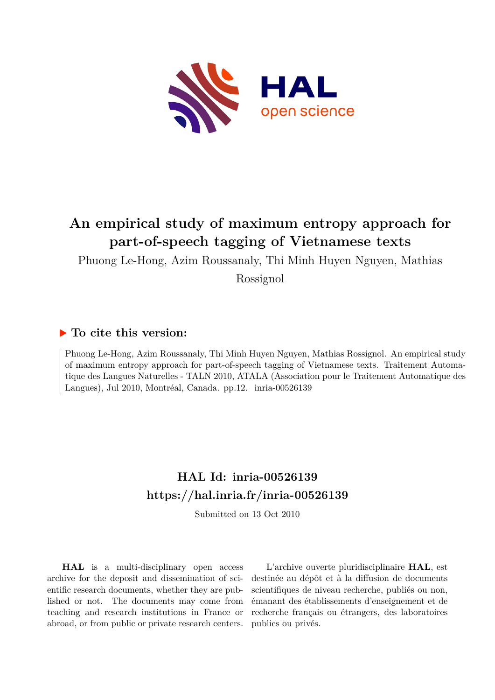

# **An empirical study of maximum entropy approach for part-of-speech tagging of Vietnamese texts**

Phuong Le-Hong, Azim Roussanaly, Thi Minh Huyen Nguyen, Mathias

Rossignol

### **To cite this version:**

Phuong Le-Hong, Azim Roussanaly, Thi Minh Huyen Nguyen, Mathias Rossignol. An empirical study of maximum entropy approach for part-of-speech tagging of Vietnamese texts. Traitement Automatique des Langues Naturelles - TALN 2010, ATALA (Association pour le Traitement Automatique des Langues), Jul 2010, Montréal, Canada. pp.12. inria-00526139

## **HAL Id: inria-00526139 <https://hal.inria.fr/inria-00526139>**

Submitted on 13 Oct 2010

**HAL** is a multi-disciplinary open access archive for the deposit and dissemination of scientific research documents, whether they are published or not. The documents may come from teaching and research institutions in France or abroad, or from public or private research centers.

L'archive ouverte pluridisciplinaire **HAL**, est destinée au dépôt et à la diffusion de documents scientifiques de niveau recherche, publiés ou non, émanant des établissements d'enseignement et de recherche français ou étrangers, des laboratoires publics ou privés.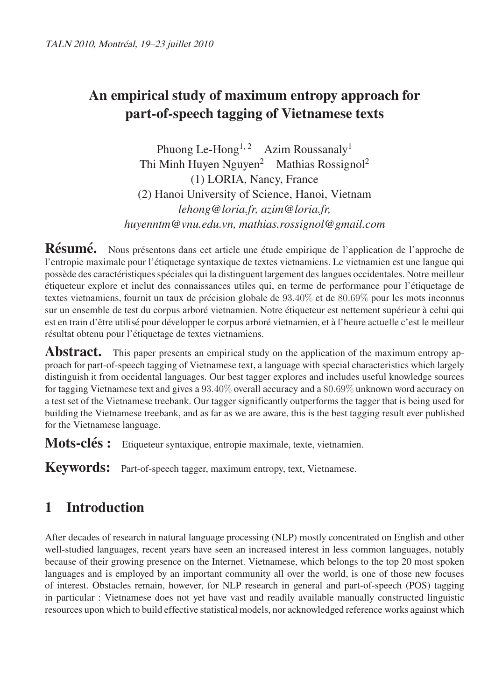# **An empirical study of maximum entropy approach for part-of-speech tagging of Vietnamese texts**

Phuong Le-Hong<sup>1, 2</sup> Azim Roussanaly<sup>1</sup> Thi Minh Huyen Nguyen<sup>2</sup> Mathias Rossignol<sup>2</sup> (1) LORIA, Nancy, France (2) Hanoi University of Science, Hanoi, Vietnam *lehong@loria.fr, azim@loria.fr, huyenntm@vnu.edu.vn, mathias.rossignol@gmail.com*

**Résumé.** Nous présentons dans cet article une étude empirique de l'application de l'approche de l'entropie maximale pour l'étiquetage syntaxique de textes vietnamiens. Le vietnamien est une langue qui possède des caractéristiques spéciales qui la distinguent largement des langues occidentales. Notre meilleur étiqueteur explore et inclut des connaissances utiles qui, en terme de performance pour l'étiquetage de textes vietnamiens, fournit un taux de précision globale de 93.40% et de 80.69% pour les mots inconnus sur un ensemble de test du corpus arboré vietnamien. Notre étiqueteur est nettement supérieur à celui qui est en train d'être utilisé pour développer le corpus arboré vietnamien, et à l'heure actuelle c'est le meilleur résultat obtenu pour l'étiquetage de textes vietnamiens.

**Abstract.** This paper presents an empirical study on the application of the maximum entropy approach for part-of-speech tagging of Vietnamese text, a language with special characteristics which largely distinguish it from occidental languages. Our best tagger explores and includes useful knowledge sources for tagging Vietnamese text and gives a 93.40% overall accuracy and a 80.69% unknown word accuracy on a test set of the Vietnamese treebank. Our tagger significantly outperforms the tagger that is being used for building the Vietnamese treebank, and as far as we are aware, this is the best tagging result ever published for the Vietnamese language.

**Mots-clés :** Etiqueteur syntaxique, entropie maximale, texte, vietnamien.

**Keywords:** Part-of-speech tagger, maximum entropy, text, Vietnamese.

# **1 Introduction**

After decades of research in natural language processing (NLP) mostly concentrated on English and other well-studied languages, recent years have seen an increased interest in less common languages, notably because of their growing presence on the Internet. Vietnamese, which belongs to the top 20 most spoken languages and is employed by an important community all over the world, is one of those new focuses of interest. Obstacles remain, however, for NLP research in general and part-of-speech (POS) tagging in particular : Vietnamese does not yet have vast and readily available manually constructed linguistic resources upon which to build effective statistical models, nor acknowledged reference works against which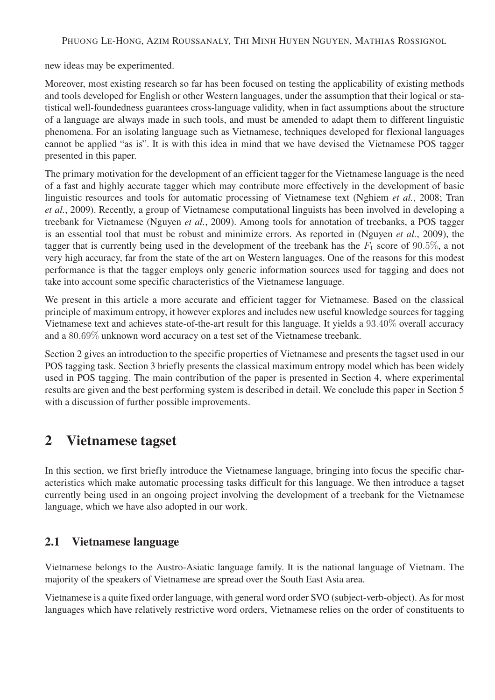new ideas may be experimented.

Moreover, most existing research so far has been focused on testing the applicability of existing methods and tools developed for English or other Western languages, under the assumption that their logical or statistical well-foundedness guarantees cross-language validity, when in fact assumptions about the structure of a language are always made in such tools, and must be amended to adapt them to different linguistic phenomena. For an isolating language such as Vietnamese, techniques developed for flexional languages cannot be applied "as is". It is with this idea in mind that we have devised the Vietnamese POS tagger presented in this paper.

The primary motivation for the development of an efficient tagger for the Vietnamese language is the need of a fast and highly accurate tagger which may contribute more effectively in the development of basic linguistic resources and tools for automatic processing of Vietnamese text (Nghiem *et al.*, 2008; Tran *et al.*, 2009). Recently, a group of Vietnamese computational linguists has been involved in developing a treebank for Vietnamese (Nguyen *et al.*, 2009). Among tools for annotation of treebanks, a POS tagger is an essential tool that must be robust and minimize errors. As reported in (Nguyen *et al.*, 2009), the tagger that is currently being used in the development of the treebank has the  $F_1$  score of 90.5%, a not very high accuracy, far from the state of the art on Western languages. One of the reasons for this modest performance is that the tagger employs only generic information sources used for tagging and does not take into account some specific characteristics of the Vietnamese language.

We present in this article a more accurate and efficient tagger for Vietnamese. Based on the classical principle of maximum entropy, it however explores and includes new useful knowledge sources for tagging Vietnamese text and achieves state-of-the-art result for this language. It yields a 93.40% overall accuracy and a 80.69% unknown word accuracy on a test set of the Vietnamese treebank.

Section 2 gives an introduction to the specific properties of Vietnamese and presents the tagset used in our POS tagging task. Section 3 briefly presents the classical maximum entropy model which has been widely used in POS tagging. The main contribution of the paper is presented in Section 4, where experimental results are given and the best performing system is described in detail. We conclude this paper in Section 5 with a discussion of further possible improvements.

## **2 Vietnamese tagset**

In this section, we first briefly introduce the Vietnamese language, bringing into focus the specific characteristics which make automatic processing tasks difficult for this language. We then introduce a tagset currently being used in an ongoing project involving the development of a treebank for the Vietnamese language, which we have also adopted in our work.

### **2.1 Vietnamese language**

Vietnamese belongs to the Austro-Asiatic language family. It is the national language of Vietnam. The majority of the speakers of Vietnamese are spread over the South East Asia area.

Vietnamese is a quite fixed order language, with general word order SVO (subject-verb-object). As for most languages which have relatively restrictive word orders, Vietnamese relies on the order of constituents to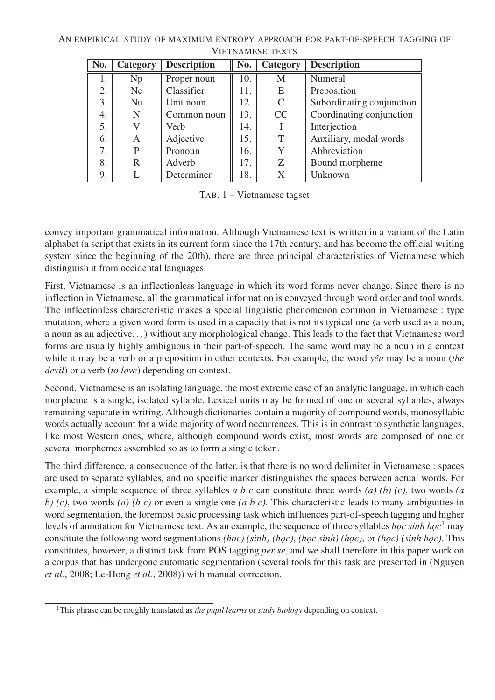| No. | Category | <b>Description</b> | No. | Category      | <b>Description</b>        |
|-----|----------|--------------------|-----|---------------|---------------------------|
| 1.  | Np       | Proper noun        | 10. | M             | Numeral                   |
| 2.  | Nc       | Classifier         | 11. | E             | Preposition               |
| 3.  | Nu       | Unit noun          | 12. | $\mathcal{C}$ | Subordinating conjunction |
| 4.  | N        | Common noun        | 13. | CC            | Coordinating conjunction  |
| 5.  |          | Verb               | 14. |               | Interjection              |
| 6.  | A        | Adjective          | 15. | T             | Auxiliary, modal words    |
| 7.  | P        | Pronoun            | 16. | Y             | Abbreviation              |
| 8.  | R        | Adverb             | 17. | Z             | Bound morpheme            |
| 9.  |          | Determiner         | 18. | Χ             | Unknown                   |

TAB. 1 – Vietnamese tagset

convey important grammatical information. Although Vietnamese text is written in a variant of the Latin alphabet (a script that exists in its current form since the 17th century, and has become the official writing system since the beginning of the 20th), there are three principal characteristics of Vietnamese which distinguish it from occidental languages.

First, Vietnamese is an inflectionless language in which its word forms never change. Since there is no inflection in Vietnamese, all the grammatical information is conveyed through word order and tool words. The inflectionless characteristic makes a special linguistic phenomenon common in Vietnamese : type mutation, where a given word form is used in a capacity that is not its typical one (a verb used as a noun, a noun as an adjective. . . ) without any morphological change. This leads to the fact that Vietnamese word forms are usually highly ambiguous in their part-of-speech. The same word may be a noun in a context while it may be a verb or a preposition in other contexts. For example, the word *yêu* may be a noun (*the devil*) or a verb (*to love*) depending on context.

Second, Vietnamese is an isolating language, the most extreme case of an analytic language, in which each morpheme is a single, isolated syllable. Lexical units may be formed of one or several syllables, always remaining separate in writing. Although dictionaries contain a majority of compound words, monosyllabic words actually account for a wide majority of word occurrences. This is in contrast to synthetic languages, like most Western ones, where, although compound words exist, most words are composed of one or several morphemes assembled so as to form a single token.

The third difference, a consequence of the latter, is that there is no word delimiter in Vietnamese : spaces are used to separate syllables, and no specific marker distinguishes the spaces between actual words. For example, a simple sequence of three syllables *a b c* can constitute three words *(a) (b) (c)*, two words *(a b) (c)*, two words *(a) (b c)* or even a single one *(a b c)*. This characteristic leads to many ambiguities in word segmentation, the foremost basic processing task which influences part-of-speech tagging and higher levels of annotation for Vietnamese text. As an example, the sequence of three syllables *học sinh học*<sup>1</sup> may constitute the following word segmentations *(học) (sinh) (học)*, *(học sinh) (học)*, or *(học) (sinh học)*. This constitutes, however, a distinct task from POS tagging *per se*, and we shall therefore in this paper work on a corpus that has undergone automatic segmentation (several tools for this task are presented in (Nguyen *et al.*, 2008; Le-Hong *et al.*, 2008)) with manual correction.

<sup>1</sup>This phrase can be roughly translated as *the pupil learns* or *study biology* depending on context.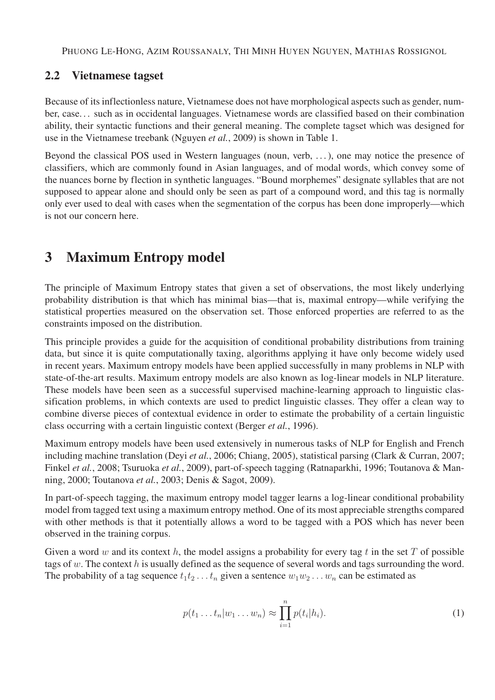PHUONG LE-HONG, AZIM ROUSSANALY, THI MINH HUYEN NGUYEN, MATHIAS ROSSIGNOL

#### **2.2 Vietnamese tagset**

Because of its inflectionless nature, Vietnamese does not have morphological aspects such as gender, number, case. . . such as in occidental languages. Vietnamese words are classified based on their combination ability, their syntactic functions and their general meaning. The complete tagset which was designed for use in the Vietnamese treebank (Nguyen *et al.*, 2009) is shown in Table 1.

Beyond the classical POS used in Western languages (noun, verb, . . . ), one may notice the presence of classifiers, which are commonly found in Asian languages, and of modal words, which convey some of the nuances borne by flection in synthetic languages. "Bound morphemes" designate syllables that are not supposed to appear alone and should only be seen as part of a compound word, and this tag is normally only ever used to deal with cases when the segmentation of the corpus has been done improperly—which is not our concern here.

## **3 Maximum Entropy model**

The principle of Maximum Entropy states that given a set of observations, the most likely underlying probability distribution is that which has minimal bias—that is, maximal entropy—while verifying the statistical properties measured on the observation set. Those enforced properties are referred to as the constraints imposed on the distribution.

This principle provides a guide for the acquisition of conditional probability distributions from training data, but since it is quite computationally taxing, algorithms applying it have only become widely used in recent years. Maximum entropy models have been applied successfully in many problems in NLP with state-of-the-art results. Maximum entropy models are also known as log-linear models in NLP literature. These models have been seen as a successful supervised machine-learning approach to linguistic classification problems, in which contexts are used to predict linguistic classes. They offer a clean way to combine diverse pieces of contextual evidence in order to estimate the probability of a certain linguistic class occurring with a certain linguistic context (Berger *et al.*, 1996).

Maximum entropy models have been used extensively in numerous tasks of NLP for English and French including machine translation (Deyi *et al.*, 2006; Chiang, 2005), statistical parsing (Clark & Curran, 2007; Finkel *et al.*, 2008; Tsuruoka *et al.*, 2009), part-of-speech tagging (Ratnaparkhi, 1996; Toutanova & Manning, 2000; Toutanova *et al.*, 2003; Denis & Sagot, 2009).

In part-of-speech tagging, the maximum entropy model tagger learns a log-linear conditional probability model from tagged text using a maximum entropy method. One of its most appreciable strengths compared with other methods is that it potentially allows a word to be tagged with a POS which has never been observed in the training corpus.

Given a word w and its context h, the model assigns a probability for every tag t in the set T of possible tags of w. The context h is usually defined as the sequence of several words and tags surrounding the word. The probability of a tag sequence  $t_1t_2 \ldots t_n$  given a sentence  $w_1w_2 \ldots w_n$  can be estimated as

$$
p(t_1 \dots t_n | w_1 \dots w_n) \approx \prod_{i=1}^n p(t_i | h_i).
$$
 (1)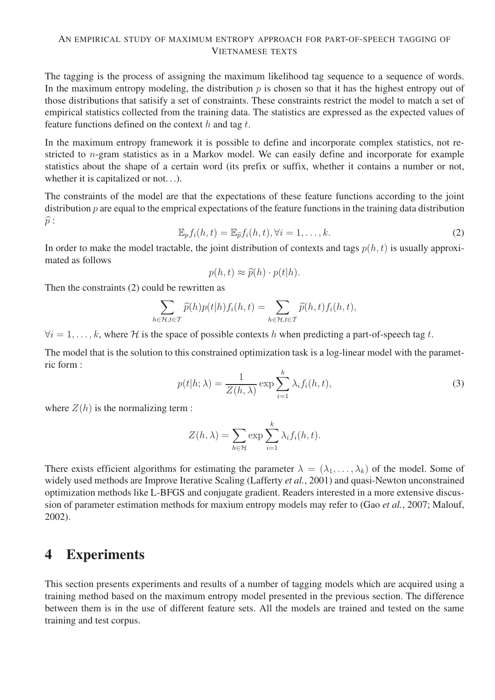The tagging is the process of assigning the maximum likelihood tag sequence to a sequence of words. In the maximum entropy modeling, the distribution  $p$  is chosen so that it has the highest entropy out of those distributions that satisify a set of constraints. These constraints restrict the model to match a set of empirical statistics collected from the training data. The statistics are expressed as the expected values of feature functions defined on the context  $h$  and tag  $t$ .

In the maximum entropy framework it is possible to define and incorporate complex statistics, not restricted to n-gram statistics as in a Markov model. We can easily define and incorporate for example statistics about the shape of a certain word (its prefix or suffix, whether it contains a number or not, whether it is capitalized or not...).

The constraints of the model are that the expectations of these feature functions according to the joint distribution  $p$  are equal to the emprical expectations of the feature functions in the training data distribution  $\widehat{p}$ :

$$
\mathbb{E}_p f_i(h, t) = \mathbb{E}_{\widehat{p}} f_i(h, t), \forall i = 1, \dots, k.
$$
 (2)

In order to make the model tractable, the joint distribution of contexts and tags  $p(h, t)$  is usually approximated as follows

$$
p(h, t) \approx \widehat{p}(h) \cdot p(t|h).
$$

Then the constraints (2) could be rewritten as

$$
\sum_{h \in \mathcal{H}, t \in \mathcal{T}} \widehat{p}(h) p(t|h) f_i(h, t) = \sum_{h \in \mathcal{H}, t \in \mathcal{T}} \widehat{p}(h, t) f_i(h, t),
$$

 $\forall i = 1, \ldots, k$ , where H is the space of possible contexts h when predicting a part-of-speech tag t.

The model that is the solution to this constrained optimization task is a log-linear model with the parametric form :

$$
p(t|h; \lambda) = \frac{1}{Z(h, \lambda)} \exp \sum_{i=1}^{k} \lambda_i f_i(h, t),
$$
\n(3)

where  $Z(h)$  is the normalizing term :

$$
Z(h,\lambda) = \sum_{h \in \mathcal{H}} \exp \sum_{i=1}^{k} \lambda_i f_i(h,t).
$$

There exists efficient algorithms for estimating the parameter  $\lambda = (\lambda_1, \dots, \lambda_k)$  of the model. Some of widely used methods are Improve Iterative Scaling (Lafferty *et al.*, 2001) and quasi-Newton unconstrained optimization methods like L-BFGS and conjugate gradient. Readers interested in a more extensive discussion of parameter estimation methods for maxium entropy models may refer to (Gao *et al.*, 2007; Malouf, 2002).

## **4 Experiments**

This section presents experiments and results of a number of tagging models which are acquired using a training method based on the maximum entropy model presented in the previous section. The difference between them is in the use of different feature sets. All the models are trained and tested on the same training and test corpus.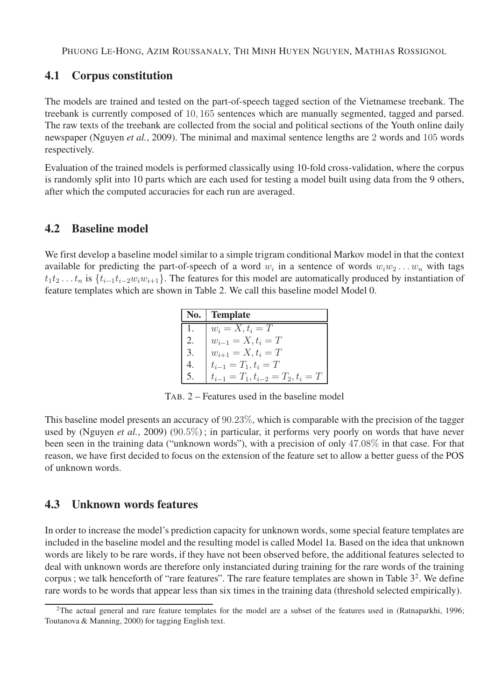#### **4.1 Corpus constitution**

The models are trained and tested on the part-of-speech tagged section of the Vietnamese treebank. The treebank is currently composed of 10, 165 sentences which are manually segmented, tagged and parsed. The raw texts of the treebank are collected from the social and political sections of the Youth online daily newspaper (Nguyen *et al.*, 2009). The minimal and maximal sentence lengths are 2 words and 105 words respectively.

Evaluation of the trained models is performed classically using 10-fold cross-validation, where the corpus is randomly split into 10 parts which are each used for testing a model built using data from the 9 others, after which the computed accuracies for each run are averaged.

#### **4.2 Baseline model**

We first develop a baseline model similar to a simple trigram conditional Markov model in that the context available for predicting the part-of-speech of a word  $w_i$  in a sentence of words  $w_iw_2 \ldots w_n$  with tags  $t_1t_2 \tldots t_n$  is  $\{t_{i-1}t_{i-2}w_iw_{i+1}\}\.$  The features for this model are automatically produced by instantiation of feature templates which are shown in Table 2. We call this baseline model Model 0.

| No. | <b>Template</b>                         |
|-----|-----------------------------------------|
|     | $w_i = X, t_i = T$                      |
| 2.  | $w_{i-1} = X, t_i = T$                  |
| 3.  | $w_{i+1} = X, t_i = T$                  |
|     | $t_{i-1} = T_1, t_i = T$                |
|     | $t_{i-1} = T_1, t_{i-2} = T_2, t_i = T$ |

TAB. 2 – Features used in the baseline model

This baseline model presents an accuracy of 90.23%, which is comparable with the precision of the tagger used by (Nguyen *et al.*, 2009) (90.5%); in particular, it performs very poorly on words that have never been seen in the training data ("unknown words"), with a precision of only 47.08% in that case. For that reason, we have first decided to focus on the extension of the feature set to allow a better guess of the POS of unknown words.

#### **4.3 Unknown words features**

In order to increase the model's prediction capacity for unknown words, some special feature templates are included in the baseline model and the resulting model is called Model 1a. Based on the idea that unknown words are likely to be rare words, if they have not been observed before, the additional features selected to deal with unknown words are therefore only instanciated during training for the rare words of the training corpus; we talk henceforth of "rare features". The rare feature templates are shown in Table  $3<sup>2</sup>$ . We define rare words to be words that appear less than six times in the training data (threshold selected empirically).

<sup>&</sup>lt;sup>2</sup>The actual general and rare feature templates for the model are a subset of the features used in (Ratnaparkhi, 1996; Toutanova & Manning, 2000) for tagging English text.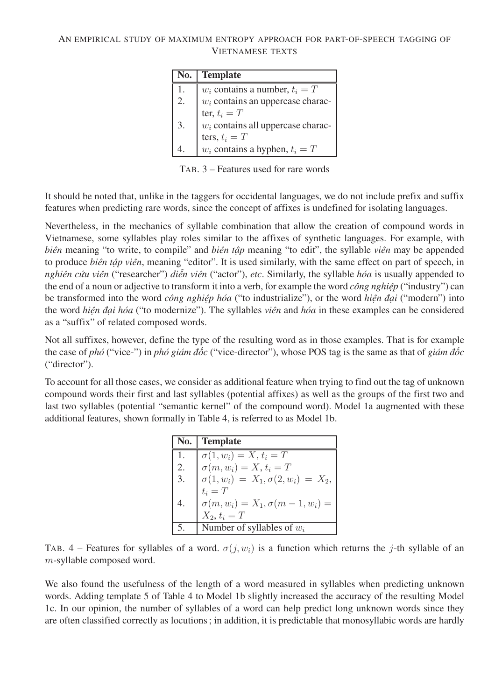| No. | <b>Template</b>                      |
|-----|--------------------------------------|
| 1.  | $w_i$ contains a number, $t_i = T$   |
| 2.  | $w_i$ contains an uppercase charac-  |
|     | ter, $t_i = T$                       |
| 3.  | $w_i$ contains all uppercase charac- |
|     | ters, $t_i = T$                      |
|     | $w_i$ contains a hyphen, $t_i = T$   |

TAB. 3 – Features used for rare words

It should be noted that, unlike in the taggers for occidental languages, we do not include prefix and suffix features when predicting rare words, since the concept of affixes is undefined for isolating languages.

Nevertheless, in the mechanics of syllable combination that allow the creation of compound words in Vietnamese, some syllables play roles similar to the affixes of synthetic languages. For example, with *biên* meaning "to write, to compile" and *biên tập* meaning "to edit", the syllable *viên* may be appended to produce *biên tập viên*, meaning "editor". It is used similarly, with the same effect on part of speech, in *nghiên cứu viên* ("researcher") *diễn viên* ("actor"), *etc*. Similarly, the syllable *hóa* is usually appended to the end of a noun or adjective to transform it into a verb, for example the word *công nghiệp* ("industry") can be transformed into the word *công nghiệp hóa* ("to industrialize"), or the word *hiện đại* ("modern") into the word *hiện đại hóa* ("to modernize"). The syllables *viên* and *hóa* in these examples can be considered as a "suffix" of related composed words.

Not all suffixes, however, define the type of the resulting word as in those examples. That is for example the case of *phó* ("vice-") in *phó giám đốc* ("vice-director"), whose POS tag is the same as that of *giám đốc* ("director").

To account for all those cases, we consider as additional feature when trying to find out the tag of unknown compound words their first and last syllables (potential affixes) as well as the groups of the first two and last two syllables (potential "semantic kernel" of the compound word). Model 1a augmented with these additional features, shown formally in Table 4, is referred to as Model 1b.

| No. | <b>Template</b>                               |
|-----|-----------------------------------------------|
| 1.  | $\overline{\sigma}(1, w_i) = X, t_i = T$      |
| 2.  | $\sigma(m, w_i) = X, t_i = T$                 |
| 3.  | $\sigma(1, w_i) = X_1, \sigma(2, w_i) = X_2,$ |
|     | $t_i = T$                                     |
|     | $\sigma(m, w_i) = X_1, \sigma(m-1, w_i) =$    |
|     | $X_2, t_i = T$                                |
|     | Number of syllables of $w_i$                  |

TAB. 4 – Features for syllables of a word.  $\sigma(j, w_i)$  is a function which returns the j-th syllable of an m-syllable composed word.

We also found the usefulness of the length of a word measured in syllables when predicting unknown words. Adding template 5 of Table 4 to Model 1b slightly increased the accuracy of the resulting Model 1c. In our opinion, the number of syllables of a word can help predict long unknown words since they are often classified correctly as locutions ; in addition, it is predictable that monosyllabic words are hardly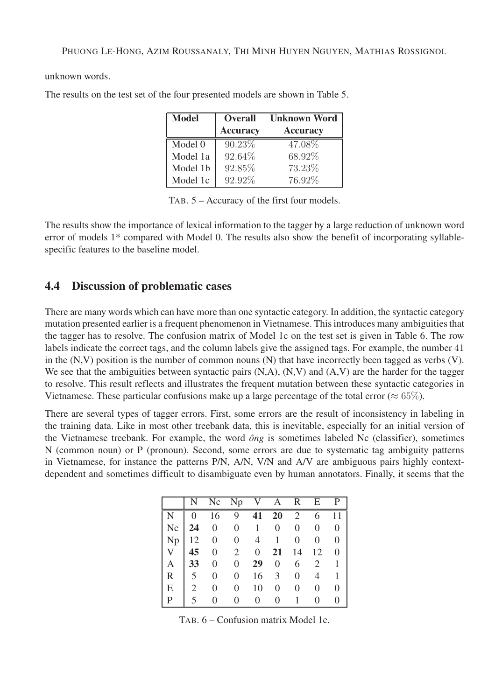unknown words.

The results on the test set of the four presented models are shown in Table 5.

| <b>Model</b> | <b>Overall</b>  | <b>Unknown Word</b> |  |
|--------------|-----------------|---------------------|--|
|              | <b>Accuracy</b> | <b>Accuracy</b>     |  |
| Model 0      | 90.23%          | 47.08%              |  |
| Model 1a     | 92.64%          | 68.92%              |  |
| Model 1b     | 92.85%          | 73.23%              |  |
| Model 1c     | 92.92%          | 76.92%              |  |

TAB. 5 – Accuracy of the first four models.

The results show the importance of lexical information to the tagger by a large reduction of unknown word error of models 1\* compared with Model 0. The results also show the benefit of incorporating syllablespecific features to the baseline model.

### **4.4 Discussion of problematic cases**

There are many words which can have more than one syntactic category. In addition, the syntactic category mutation presented earlier is a frequent phenomenon in Vietnamese. This introduces many ambiguities that the tagger has to resolve. The confusion matrix of Model 1c on the test set is given in Table 6. The row labels indicate the correct tags, and the column labels give the assigned tags. For example, the number 41 in the  $(N, V)$  position is the number of common nouns  $(N)$  that have incorrectly been tagged as verbs  $(V)$ . We see that the ambiguities between syntactic pairs  $(N, A)$ ,  $(N, V)$  and  $(A, V)$  are the harder for the tagger to resolve. This result reflects and illustrates the frequent mutation between these syntactic categories in Vietnamese. These particular confusions make up a large percentage of the total error ( $\approx 65\%$ ).

There are several types of tagger errors. First, some errors are the result of inconsistency in labeling in the training data. Like in most other treebank data, this is inevitable, especially for an initial version of the Vietnamese treebank. For example, the word *ông* is sometimes labeled Nc (classifier), sometimes N (common noun) or P (pronoun). Second, some errors are due to systematic tag ambiguity patterns in Vietnamese, for instance the patterns P/N, A/N, V/N and A/V are ambiguous pairs highly contextdependent and sometimes difficult to disambiguate even by human annotators. Finally, it seems that the

|              | N              |                  | No $Np$ V A R    |                |                |                | E              | $\mathbf{P}$   |
|--------------|----------------|------------------|------------------|----------------|----------------|----------------|----------------|----------------|
|              | $\overline{0}$ | 16               | 9                | 41             | 20             | 2              | 6              | 11             |
| Nc           |                | $24 \quad 0$     | $\boldsymbol{0}$ | $\mathbf{1}$   | $\overline{0}$ | $\overline{0}$ | $\overline{0}$ | $\overline{0}$ |
| Np           | 12             | $\boldsymbol{0}$ | $\overline{0}$   | 4              | 1              | 0              | $\theta$       | $\overline{0}$ |
| $V_{-}$      | 45             | $\mathbf{0}$     | $2^{\circ}$      | $\overline{0}$ | 21             | 14             | 12             | $\overline{0}$ |
| A            | 33             | $\boldsymbol{0}$ | $\overline{0}$   | 29             | $\overline{0}$ | 6              | 2              | $\mathbf{1}$   |
| $\mathsf{R}$ | 5              | $\overline{0}$   | $\overline{0}$   | 16             | 3              | 0              | $\overline{4}$ | 1              |
| E            | 2              | $\overline{0}$   | 0                | 10             | 0              | 0              | $\theta$       | 0              |
| P            | 5              | 0                |                  | 0              | 0              |                |                |                |

TAB. 6 – Confusion matrix Model 1c.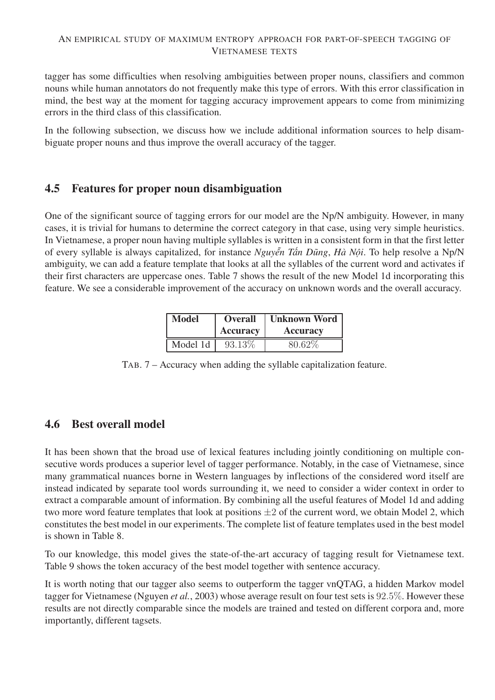tagger has some difficulties when resolving ambiguities between proper nouns, classifiers and common nouns while human annotators do not frequently make this type of errors. With this error classification in mind, the best way at the moment for tagging accuracy improvement appears to come from minimizing errors in the third class of this classification.

In the following subsection, we discuss how we include additional information sources to help disambiguate proper nouns and thus improve the overall accuracy of the tagger.

#### **4.5 Features for proper noun disambiguation**

One of the significant source of tagging errors for our model are the Np/N ambiguity. However, in many cases, it is trivial for humans to determine the correct category in that case, using very simple heuristics. In Vietnamese, a proper noun having multiple syllables is written in a consistent form in that the first letter of every syllable is always capitalized, for instance *Nguyễn Tấn Dũng*, *Hà Nội*. To help resolve a Np/N ambiguity, we can add a feature template that looks at all the syllables of the current word and activates if their first characters are uppercase ones. Table 7 shows the result of the new Model 1d incorporating this feature. We see a considerable improvement of the accuracy on unknown words and the overall accuracy.

| <b>Model</b> | <b>Overall</b>                     | <b>Unknown Word</b> |  |
|--------------|------------------------------------|---------------------|--|
|              | <b>Accuracy</b><br><b>Accuracy</b> |                     |  |
| Model 1d     | 93.13\%                            | 80.62%              |  |

TAB. 7 – Accuracy when adding the syllable capitalization feature.

### **4.6 Best overall model**

It has been shown that the broad use of lexical features including jointly conditioning on multiple consecutive words produces a superior level of tagger performance. Notably, in the case of Vietnamese, since many grammatical nuances borne in Western languages by inflections of the considered word itself are instead indicated by separate tool words surrounding it, we need to consider a wider context in order to extract a comparable amount of information. By combining all the useful features of Model 1d and adding two more word feature templates that look at positions  $\pm 2$  of the current word, we obtain Model 2, which constitutes the best model in our experiments. The complete list of feature templates used in the best model is shown in Table 8.

To our knowledge, this model gives the state-of-the-art accuracy of tagging result for Vietnamese text. Table 9 shows the token accuracy of the best model together with sentence accuracy.

It is worth noting that our tagger also seems to outperform the tagger vnQTAG, a hidden Markov model tagger for Vietnamese (Nguyen *et al.*, 2003) whose average result on four test sets is 92.5%. However these results are not directly comparable since the models are trained and tested on different corpora and, more importantly, different tagsets.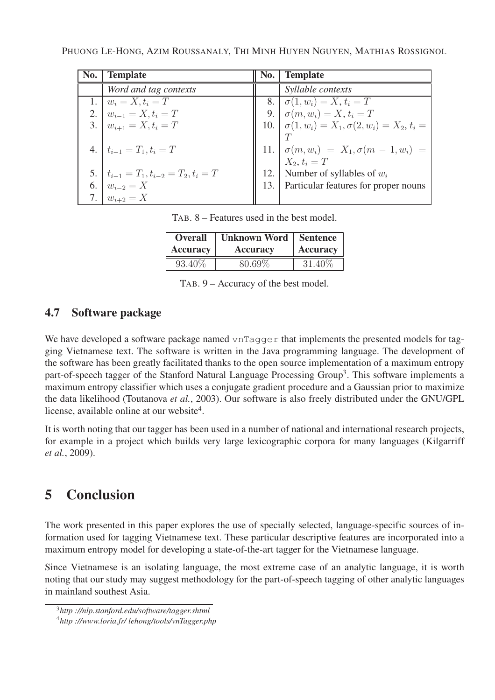PHUONG LE-HONG, AZIM ROUSSANALY, THI MINH HUYEN NGUYEN, MATHIAS ROSSIGNOL

| No. | <b>Template</b>                            | No.   Template                                                |
|-----|--------------------------------------------|---------------------------------------------------------------|
|     | Word and tag contexts                      | <i>Syllable contexts</i>                                      |
|     | 1. $w_i = X, t_i = T$                      | 8. $\sigma(1, w_i) = X, t_i = T$                              |
|     | 2. $w_{i-1} = X, t_i = T$                  | 9. $\sigma(m, w_i) = X, t_i = T$                              |
|     | 3. $w_{i+1} = X, t_i = T$                  | 10. $\sigma(1, w_i) = X_1, \sigma(2, w_i) = X_2, t_i =$       |
|     |                                            |                                                               |
|     | 4. $t_{i-1} = T_1, t_i = T$                | 11. $\sigma(m, w_i) = X_1, \sigma(m - 1, w_i) = X_2, t_i = T$ |
|     |                                            |                                                               |
|     | 5. $t_{i-1} = T_1, t_{i-2} = T_2, t_i = T$ | 12. Number of syllables of $w_i$                              |
|     | 6. $w_{i-2} = X$                           | 13. Particular features for proper nouns                      |
|     | $ w_{i+2}  = X$                            |                                                               |

TAB. 8 – Features used in the best model.

| <b>Overall</b>  | Unknown Word   Sentence |                 |  |
|-----------------|-------------------------|-----------------|--|
| <b>Accuracy</b> | <b>Accuracy</b>         | <b>Accuracy</b> |  |
| 93.40\%         | 80.69%                  | 31.40\%         |  |

TAB. 9 – Accuracy of the best model.

## **4.7 Software package**

We have developed a software package named vnTagger that implements the presented models for tagging Vietnamese text. The software is written in the Java programming language. The development of the software has been greatly facilitated thanks to the open source implementation of a maximum entropy part-of-speech tagger of the Stanford Natural Language Processing Group<sup>3</sup>. This software implements a maximum entropy classifier which uses a conjugate gradient procedure and a Gaussian prior to maximize the data likelihood (Toutanova *et al.*, 2003). Our software is also freely distributed under the GNU/GPL license, available online at our website<sup>4</sup>.

It is worth noting that our tagger has been used in a number of national and international research projects, for example in a project which builds very large lexicographic corpora for many languages (Kilgarriff *et al.*, 2009).

# **5 Conclusion**

The work presented in this paper explores the use of specially selected, language-specific sources of information used for tagging Vietnamese text. These particular descriptive features are incorporated into a maximum entropy model for developing a state-of-the-art tagger for the Vietnamese language.

Since Vietnamese is an isolating language, the most extreme case of an analytic language, it is worth noting that our study may suggest methodology for the part-of-speech tagging of other analytic languages in mainland southest Asia.

<sup>3</sup>*http ://nlp.stanford.edu/software/tagger.shtml*

<sup>4</sup>*http ://www.loria.fr/ lehong/tools/vnTagger.php*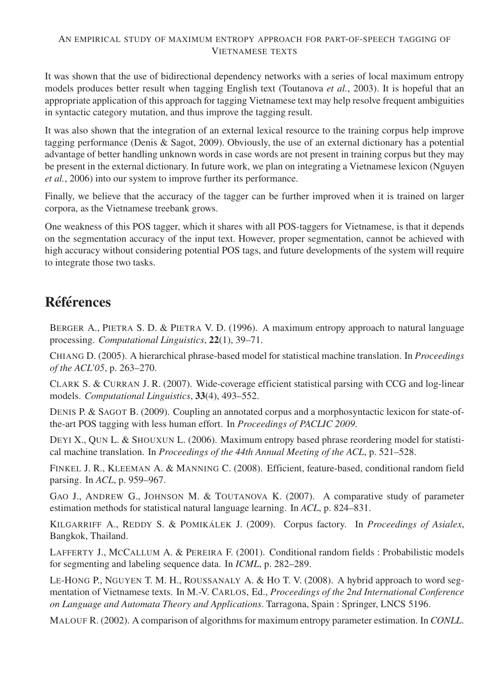It was shown that the use of bidirectional dependency networks with a series of local maximum entropy models produces better result when tagging English text (Toutanova *et al.*, 2003). It is hopeful that an appropriate application of this approach for tagging Vietnamese text may help resolve frequent ambiguities in syntactic category mutation, and thus improve the tagging result.

It was also shown that the integration of an external lexical resource to the training corpus help improve tagging performance (Denis & Sagot, 2009). Obviously, the use of an external dictionary has a potential advantage of better handling unknown words in case words are not present in training corpus but they may be present in the external dictionary. In future work, we plan on integrating a Vietnamese lexicon (Nguyen *et al.*, 2006) into our system to improve further its performance.

Finally, we believe that the accuracy of the tagger can be further improved when it is trained on larger corpora, as the Vietnamese treebank grows.

One weakness of this POS tagger, which it shares with all POS-taggers for Vietnamese, is that it depends on the segmentation accuracy of the input text. However, proper segmentation, cannot be achieved with high accuracy without considering potential POS tags, and future developments of the system will require to integrate those two tasks.

# **Références**

BERGER A., PIETRA S. D. & PIETRA V. D. (1996). A maximum entropy approach to natural language processing. *Computational Linguistics*, **22**(1), 39–71.

CHIANG D. (2005). A hierarchical phrase-based model for statistical machine translation. In *Proceedings of the ACL'05*, p. 263–270.

CLARK S. & CURRAN J. R. (2007). Wide-coverage efficient statistical parsing with CCG and log-linear models. *Computational Linguistics*, **33**(4), 493–552.

DENIS P. & SAGOT B. (2009). Coupling an annotated corpus and a morphosyntactic lexicon for state-ofthe-art POS tagging with less human effort. In *Proceedings of PACLIC 2009*.

DEYI X., QUN L. & SHOUXUN L. (2006). Maximum entropy based phrase reordering model for statistical machine translation. In *Proceedings of the 44th Annual Meeting of the ACL*, p. 521–528.

FINKEL J. R., KLEEMAN A. & MANNING C. (2008). Efficient, feature-based, conditional random field parsing. In *ACL*, p. 959–967.

GAO J., ANDREW G., JOHNSON M. & TOUTANOVA K. (2007). A comparative study of parameter estimation methods for statistical natural language learning. In *ACL*, p. 824–831.

KILGARRIFF A., REDDY S. & POMIKÁLEK J. (2009). Corpus factory. In *Proceedings of Asialex*, Bangkok, Thailand.

LAFFERTY J., MCCALLUM A. & PEREIRA F. (2001). Conditional random fields : Probabilistic models for segmenting and labeling sequence data. In *ICML*, p. 282–289.

LE-HONG P., NGUYEN T. M. H., ROUSSANALY A. & HO T. V. (2008). A hybrid approach to word segmentation of Vietnamese texts. In M.-V. CARLOS, Ed., *Proceedings of the 2nd International Conference on Language and Automata Theory and Applications*. Tarragona, Spain : Springer, LNCS 5196.

MALOUF R. (2002). A comparison of algorithms for maximum entropy parameter estimation. In *CONLL*.